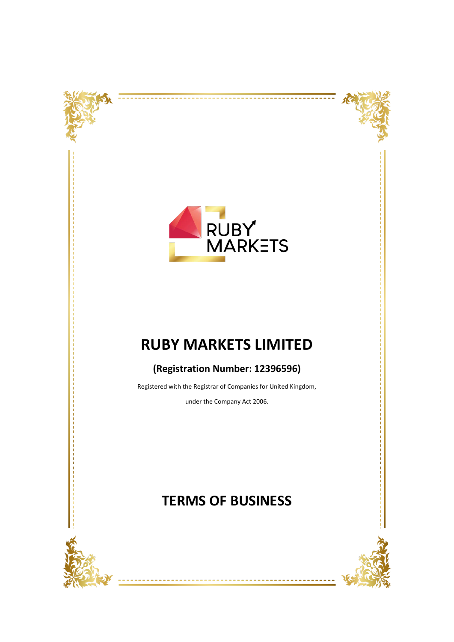



---------------------



# **RUBY MARKETS LIMITED**

# **(Registration Number: 12396596)**

Registered with the Registrar of Companies for United Kingdom,

under the Company Act 2006.

# **TERMS OF BUSINESS**

--------



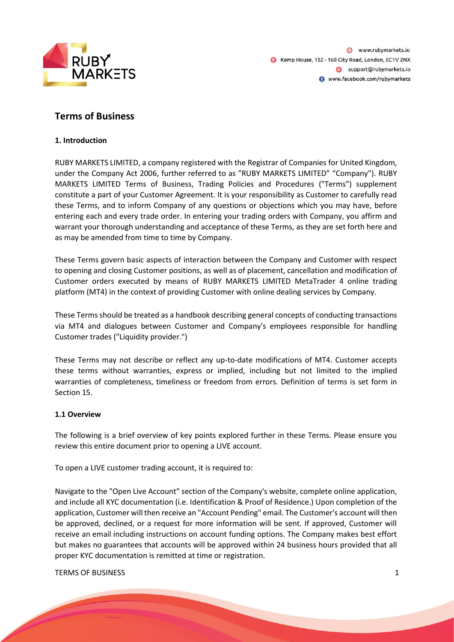

www.rubymarkets.io Kemp House, 152 - 160 City Road, London, EC1V 2NX Support@rubymarkets.io www.facebook.com/rubymarkets

# **Terms of Business**

# **1. Introduction**

RUBY MARKETS LIMITED, a company registered with the Registrar of Companies for United Kingdom, under the Company Act 2006, further referred to as "RUBY MARKETS LIMITED" "Company"). RUBY MARKETS LIMITED Terms of Business, Trading Policies and Procedures ("Terms") supplement constitute a part of your Customer Agreement. It is your responsibility as Customer to carefully read these Terms, and to inform Company of any questions or objections which you may have, before entering each and every trade order. In entering your trading orders with Company, you affirm and warrant your thorough understanding and acceptance of these Terms, as they are set forth here and as may be amended from time to time by Company.

These Terms govern basic aspects of interaction between the Company and Customer with respect to opening and closing Customer positions, as well as of placement, cancellation and modification of Customer orders executed by means of RUBY MARKETS LIMITED MetaTrader 4 online trading platform (MT4) in the context of providing Customer with online dealing services by Company.

These Terms should be treated as a handbook describing general concepts of conducting transactions via MT4 and dialogues between Customer and Company's employees responsible for handling Customer trades ("Liquidity provider.")

These Terms may not describe or reflect any up-to-date modifications of MT4. Customer accepts these terms without warranties, express or implied, including but not limited to the implied warranties of completeness, timeliness or freedom from errors. Definition of terms is set form in Section 15.

# **1.1 Overview**

The following is a brief overview of key points explored further in these Terms. Please ensure you review this entire document prior to opening a LIVE account.

To open a LIVE customer trading account, it is required to:

Navigate to the "Open Live Account" section of the Company's website, complete online application, and include all KYC documentation (i.e. Identification & Proof of Residence.) Upon completion of the application, Customer will then receive an "Account Pending" email. The Customer's account will then be approved, declined, or a request for more information will be sent. If approved, Customer will receive an email including instructions on account funding options. The Company makes best effort but makes no guarantees that accounts will be approved within 24 business hours provided that all proper KYC documentation is remitted at time or registration.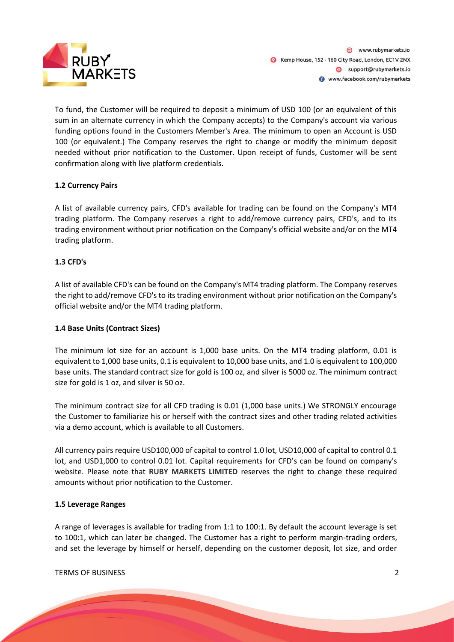

To fund, the Customer will be required to deposit a minimum of USD 100 (or an equivalent of this sum in an alternate currency in which the Company accepts) to the Company's account via various funding options found in the Customers Member's Area. The minimum to open an Account is USD 100 (or equivalent.) The Company reserves the right to change or modify the minimum deposit needed without prior notification to the Customer. Upon receipt of funds, Customer will be sent confirmation along with live platform credentials.

# **1.2 Currency Pairs**

A list of available currency pairs, CFD's available for trading can be found on the Company's MT4 trading platform. The Company reserves a right to add/remove currency pairs, CFD's, and to its trading environment without prior notification on the Company's official website and/or on the MT4 trading platform.

# **1.3 CFD's**

A list of available CFD's can be found on the Company's MT4 trading platform. The Company reserves the right to add/remove CFD's to its trading environment without prior notification on the Company's official website and/or the MT4 trading platform.

# **1.4 Base Units (Contract Sizes)**

The minimum lot size for an account is 1,000 base units. On the MT4 trading platform, 0.01 is equivalent to 1,000 base units, 0.1 is equivalent to 10,000 base units, and 1.0 is equivalent to 100,000 base units. The standard contract size for gold is 100 oz, and silver is 5000 oz. The minimum contract size for gold is 1 oz, and silver is 50 oz.

The minimum contract size for all CFD trading is 0.01 (1,000 base units.) We STRONGLY encourage the Customer to familiarize his or herself with the contract sizes and other trading related activities via a demo account, which is available to all Customers.

All currency pairs require USD100,000 of capital to control 1.0 lot, USD10,000 of capital to control 0.1 lot, and USD1,000 to control 0.01 lot. Capital requirements for CFD's can be found on company's website. Please note that **RUBY MARKETS LIMITED** reserves the right to change these required amounts without prior notification to the Customer.

# **1.5 Leverage Ranges**

A range of leverages is available for trading from 1:1 to 100:1. By default the account leverage is set to 100:1, which can later be changed. The Customer has a right to perform margin-trading orders, and set the leverage by himself or herself, depending on the customer deposit, lot size, and order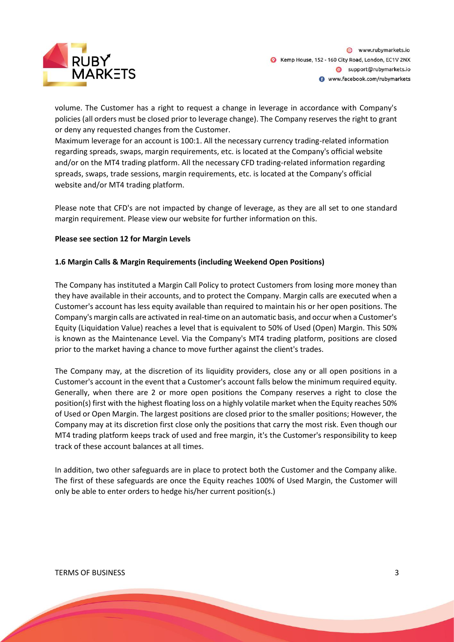

volume. The Customer has a right to request a change in leverage in accordance with Company's policies (all orders must be closed prior to leverage change). The Company reserves the right to grant or deny any requested changes from the Customer.

Maximum leverage for an account is 100:1. All the necessary currency trading-related information regarding spreads, swaps, margin requirements, etc. is located at the Company's official website and/or on the MT4 trading platform. All the necessary CFD trading-related information regarding spreads, swaps, trade sessions, margin requirements, etc. is located at the Company's official website and/or MT4 trading platform.

Please note that CFD's are not impacted by change of leverage, as they are all set to one standard margin requirement. Please view our website for further information on this.

# **Please see section 12 for Margin Levels**

#### **1.6 Margin Calls & Margin Requirements (including Weekend Open Positions)**

The Company has instituted a Margin Call Policy to protect Customers from losing more money than they have available in their accounts, and to protect the Company. Margin calls are executed when a Customer's account has less equity available than required to maintain his or her open positions. The Company's margin calls are activated in real-time on an automatic basis, and occur when a Customer's Equity (Liquidation Value) reaches a level that is equivalent to 50% of Used (Open) Margin. This 50% is known as the Maintenance Level. Via the Company's MT4 trading platform, positions are closed prior to the market having a chance to move further against the client's trades.

The Company may, at the discretion of its liquidity providers, close any or all open positions in a Customer's account in the event that a Customer's account falls below the minimum required equity. Generally, when there are 2 or more open positions the Company reserves a right to close the position(s) first with the highest floating loss on a highly volatile market when the Equity reaches 50% of Used or Open Margin. The largest positions are closed prior to the smaller positions; However, the Company may at its discretion first close only the positions that carry the most risk. Even though our MT4 trading platform keeps track of used and free margin, it's the Customer's responsibility to keep track of these account balances at all times.

In addition, two other safeguards are in place to protect both the Customer and the Company alike. The first of these safeguards are once the Equity reaches 100% of Used Margin, the Customer will only be able to enter orders to hedge his/her current position(s.)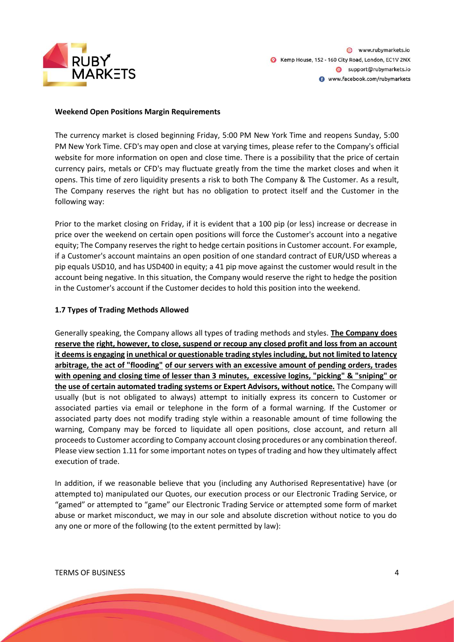

#### **Weekend Open Positions Margin Requirements**

The currency market is closed beginning Friday, 5:00 PM New York Time and reopens Sunday, 5:00 PM New York Time. CFD's may open and close at varying times, please refer to the Company's official website for more information on open and close time. There is a possibility that the price of certain currency pairs, metals or CFD's may fluctuate greatly from the time the market closes and when it opens. This time of zero liquidity presents a risk to both The Company & The Customer. As a result, The Company reserves the right but has no obligation to protect itself and the Customer in the following way:

Prior to the market closing on Friday, if it is evident that a 100 pip (or less) increase or decrease in price over the weekend on certain open positions will force the Customer's account into a negative equity; The Company reserves the right to hedge certain positions in Customer account. For example, if a Customer's account maintains an open position of one standard contract of EUR/USD whereas a pip equals USD10, and has USD400 in equity; a 41 pip move against the customer would result in the account being negative. In this situation, the Company would reserve the right to hedge the position in the Customer's account if the Customer decides to hold this position into the weekend.

#### **1.7 Types of Trading Methods Allowed**

Generally speaking, the Company allows all types of trading methods and styles. **The Company does reserve the right, however, to close, suspend or recoup any closed profit and loss from an account it deems is engaging in unethical or questionable trading styles including, but not limited to latency arbitrage, the act of "flooding" of our servers with an excessive amount of pending orders, trades with opening and closing time of lesser than 3 minutes, excessive logins, "picking" & "sniping" or the use of certain automated trading systems or Expert Advisors, without notice.** The Company will usually (but is not obligated to always) attempt to initially express its concern to Customer or associated parties via email or telephone in the form of a formal warning. If the Customer or associated party does not modify trading style within a reasonable amount of time following the warning, Company may be forced to liquidate all open positions, close account, and return all proceeds to Customer according to Company account closing procedures or any combination thereof. Please view section 1.11 for some important notes on types of trading and how they ultimately affect execution of trade.

In addition, if we reasonable believe that you (including any Authorised Representative) have (or attempted to) manipulated our Quotes, our execution process or our Electronic Trading Service, or "gamed" or attempted to "game" our Electronic Trading Service or attempted some form of market abuse or market misconduct, we may in our sole and absolute discretion without notice to you do any one or more of the following (to the extent permitted by law):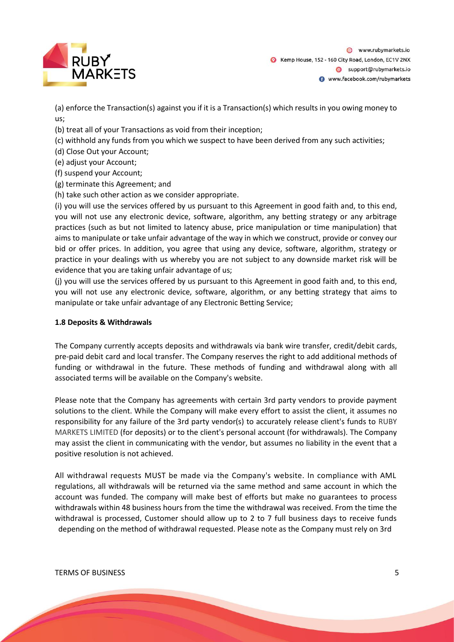

(a) enforce the Transaction(s) against you if it is a Transaction(s) which results in you owing money to us;

(b) treat all of your Transactions as void from their inception;

(c) withhold any funds from you which we suspect to have been derived from any such activities;

(d) Close Out your Account;

(e) adjust your Account;

(f) suspend your Account;

(g) terminate this Agreement; and

(h) take such other action as we consider appropriate.

(i) you will use the services offered by us pursuant to this Agreement in good faith and, to this end, you will not use any electronic device, software, algorithm, any betting strategy or any arbitrage practices (such as but not limited to latency abuse, price manipulation or time manipulation) that aims to manipulate or take unfair advantage of the way in which we construct, provide or convey our bid or offer prices. In addition, you agree that using any device, software, algorithm, strategy or practice in your dealings with us whereby you are not subject to any downside market risk will be evidence that you are taking unfair advantage of us;

(j) you will use the services offered by us pursuant to this Agreement in good faith and, to this end, you will not use any electronic device, software, algorithm, or any betting strategy that aims to manipulate or take unfair advantage of any Electronic Betting Service;

#### **1.8 Deposits & Withdrawals**

The Company currently accepts deposits and withdrawals via bank wire transfer, credit/debit cards, pre-paid debit card and local transfer. The Company reserves the right to add additional methods of funding or withdrawal in the future. These methods of funding and withdrawal along with all associated terms will be available on the Company's website.

Please note that the Company has agreements with certain 3rd party vendors to provide payment solutions to the client. While the Company will make every effort to assist the client, it assumes no responsibility for any failure of the 3rd party vendor(s) to accurately release client's funds to RUBY MARKETS LIMITED (for deposits) or to the client's personal account (for withdrawals). The Company may assist the client in communicating with the vendor, but assumes no liability in the event that a positive resolution is not achieved.

All withdrawal requests MUST be made via the Company's website. In compliance with AML regulations, all withdrawals will be returned via the same method and same account in which the account was funded. The company will make best of efforts but make no guarantees to process withdrawals within 48 business hours from the time the withdrawal was received. From the time the withdrawal is processed, Customer should allow up to 2 to 7 full business days to receive funds depending on the method of withdrawal requested. Please note as the Company must rely on 3rd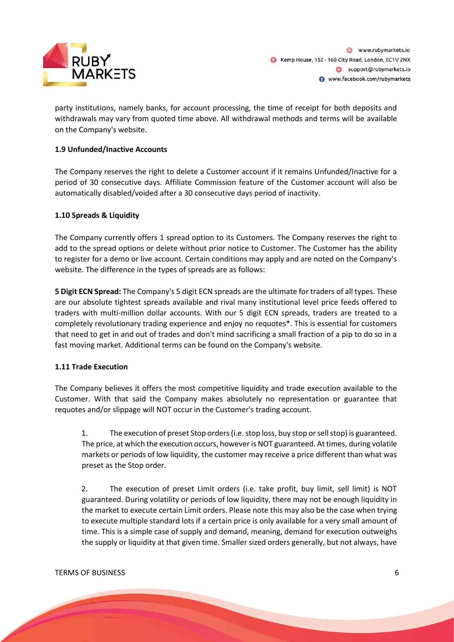

party institutions, namely banks, for account processing, the time of receipt for both deposits and withdrawals may vary from quoted time above. All withdrawal methods and terms will be available on the Company's website.

# **1.9 Unfunded/Inactive Accounts**

The Company reserves the right to delete a Customer account if it remains Unfunded/Inactive for a period of 30 consecutive days. Affiliate Commission feature of the Customer account will also be automatically disabled/voided after a 30 consecutive days period of inactivity.

# **1.10 Spreads & Liquidity**

The Company currently offers 1 spread option to its Customers. The Company reserves the right to add to the spread options or delete without prior notice to Customer. The Customer has the ability to register for a demo or live account. Certain conditions may apply and are noted on the Company's website. The difference in the types of spreads are as follows:

**5 Digit ECN Spread:** The Company's 5 digit ECN spreads are the ultimate for traders of all types. These are our absolute tightest spreads available and rival many institutional level price feeds offered to traders with multi-million dollar accounts. With our 5 digit ECN spreads, traders are treated to a completely revolutionary trading experience and enjoy no requotes\*. This is essential for customers that need to get in and out of trades and don't mind sacrificing a small fraction of a pip to do so in a fast moving market. Additional terms can be found on the Company's website.

# **1.11 Trade Execution**

The Company believes it offers the most competitive liquidity and trade execution available to the Customer. With that said the Company makes absolutely no representation or guarantee that requotes and/or slippage will NOT occur in the Customer's trading account.

1. The execution of preset Stop orders (i.e. stop loss, buy stop or sell stop) is guaranteed. The price, at which the execution occurs, however is NOT guaranteed. At times, during volatile markets or periods of low liquidity, the customer may receive a price different than what was preset as the Stop order.

2. The execution of preset Limit orders (i.e. take profit, buy limit, sell limit) is NOT guaranteed. During volatility or periods of low liquidity, there may not be enough liquidity in the market to execute certain Limit orders. Please note this may also be the case when trying to execute multiple standard lots if a certain price is only available for a very small amount of time. This is a simple case of supply and demand, meaning, demand for execution outweighs the supply or liquidity at that given time. Smaller sized orders generally, but not always, have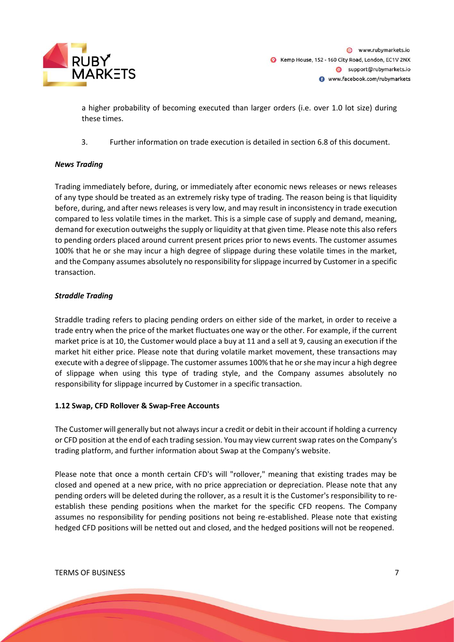

a higher probability of becoming executed than larger orders (i.e. over 1.0 lot size) during these times.

3. Further information on trade execution is detailed in section 6.8 of this document.

# *News Trading*

Trading immediately before, during, or immediately after economic news releases or news releases of any type should be treated as an extremely risky type of trading. The reason being is that liquidity before, during, and after news releases is very low, and may result in inconsistency in trade execution compared to less volatile times in the market. This is a simple case of supply and demand, meaning, demand for execution outweighs the supply or liquidity at that given time. Please note this also refers to pending orders placed around current present prices prior to news events. The customer assumes 100% that he or she may incur a high degree of slippage during these volatile times in the market, and the Company assumes absolutely no responsibility for slippage incurred by Customer in a specific transaction.

# *Straddle Trading*

Straddle trading refers to placing pending orders on either side of the market, in order to receive a trade entry when the price of the market fluctuates one way or the other. For example, if the current market price is at 10, the Customer would place a buy at 11 and a sell at 9, causing an execution if the market hit either price. Please note that during volatile market movement, these transactions may execute with a degree of slippage. The customer assumes 100% that he or she may incur a high degree of slippage when using this type of trading style, and the Company assumes absolutely no responsibility for slippage incurred by Customer in a specific transaction.

# **1.12 Swap, CFD Rollover & Swap-Free Accounts**

The Customer will generally but not always incur a credit or debit in their account if holding a currency or CFD position at the end of each trading session. You may view current swap rates on the Company's trading platform, and further information about Swap at the Company's website.

Please note that once a month certain CFD's will "rollover," meaning that existing trades may be closed and opened at a new price, with no price appreciation or depreciation. Please note that any pending orders will be deleted during the rollover, as a result it is the Customer's responsibility to reestablish these pending positions when the market for the specific CFD reopens. The Company assumes no responsibility for pending positions not being re-established. Please note that existing hedged CFD positions will be netted out and closed, and the hedged positions will not be reopened.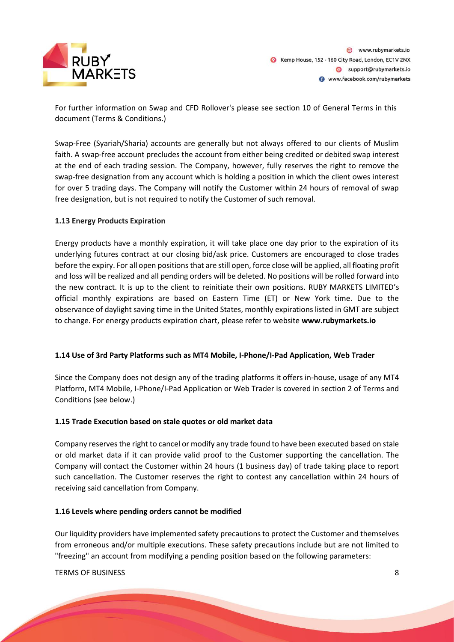

For further information on Swap and CFD Rollover's please see section 10 of General Terms in this document (Terms & Conditions.)

Swap-Free (Syariah/Sharia) accounts are generally but not always offered to our clients of Muslim faith. A swap-free account precludes the account from either being credited or debited swap interest at the end of each trading session. The Company, however, fully reserves the right to remove the swap-free designation from any account which is holding a position in which the client owes interest for over 5 trading days. The Company will notify the Customer within 24 hours of removal of swap free designation, but is not required to notify the Customer of such removal.

# **1.13 Energy Products Expiration**

Energy products have a monthly expiration, it will take place one day prior to the expiration of its underlying futures contract at our closing bid/ask price. Customers are encouraged to close trades before the expiry. For all open positions that are still open, force close will be applied, all floating profit and loss will be realized and all pending orders will be deleted. No positions will be rolled forward into the new contract. It is up to the client to reinitiate their own positions. RUBY MARKETS LIMITED's official monthly expirations are based on Eastern Time (ET) or New York time. Due to the observance of daylight saving time in the United States, monthly expirations listed in GMT are subject to change. For energy products expiration chart, please refer to website **www.rubymarkets.io**

# **1.14 Use of 3rd Party Platforms such as MT4 Mobile, I-Phone/I-Pad Application, Web Trader**

Since the Company does not design any of the trading platforms it offers in-house, usage of any MT4 Platform, MT4 Mobile, I-Phone/I-Pad Application or Web Trader is covered in section 2 of Terms and Conditions (see below.)

# **1.15 Trade Execution based on stale quotes or old market data**

Company reserves the right to cancel or modify any trade found to have been executed based on stale or old market data if it can provide valid proof to the Customer supporting the cancellation. The Company will contact the Customer within 24 hours (1 business day) of trade taking place to report such cancellation. The Customer reserves the right to contest any cancellation within 24 hours of receiving said cancellation from Company.

# **1.16 Levels where pending orders cannot be modified**

Our liquidity providers have implemented safety precautions to protect the Customer and themselves from erroneous and/or multiple executions. These safety precautions include but are not limited to "freezing" an account from modifying a pending position based on the following parameters: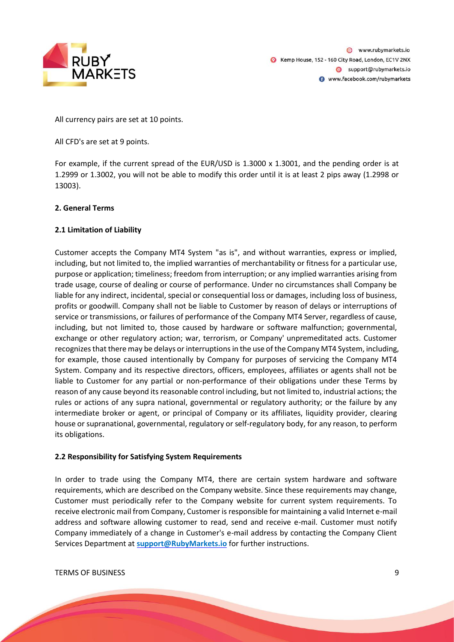

@ www.rubymarkets.io Kemp House, 152 - 160 City Road, London, EC1V 2NX Support@rubymarkets.io www.facebook.com/rubymarkets

All currency pairs are set at 10 points.

All CFD's are set at 9 points.

For example, if the current spread of the EUR/USD is 1.3000 x 1.3001, and the pending order is at 1.2999 or 1.3002, you will not be able to modify this order until it is at least 2 pips away (1.2998 or 13003).

# **2. General Terms**

# **2.1 Limitation of Liability**

Customer accepts the Company MT4 System "as is", and without warranties, express or implied, including, but not limited to, the implied warranties of merchantability or fitness for a particular use, purpose or application; timeliness; freedom from interruption; or any implied warranties arising from trade usage, course of dealing or course of performance. Under no circumstances shall Company be liable for any indirect, incidental, special or consequential loss or damages, including loss of business, profits or goodwill. Company shall not be liable to Customer by reason of delays or interruptions of service or transmissions, or failures of performance of the Company MT4 Server, regardless of cause, including, but not limited to, those caused by hardware or software malfunction; governmental, exchange or other regulatory action; war, terrorism, or Company' unpremeditated acts. Customer recognizes that there may be delays or interruptions in the use of the Company MT4 System, including, for example, those caused intentionally by Company for purposes of servicing the Company MT4 System. Company and its respective directors, officers, employees, affiliates or agents shall not be liable to Customer for any partial or non-performance of their obligations under these Terms by reason of any cause beyond its reasonable control including, but not limited to, industrial actions; the rules or actions of any supra national, governmental or regulatory authority; or the failure by any intermediate broker or agent, or principal of Company or its affiliates, liquidity provider, clearing house or supranational, governmental, regulatory or self-regulatory body, for any reason, to perform its obligations.

# **2.2 Responsibility for Satisfying System Requirements**

In order to trade using the Company MT4, there are certain system hardware and software requirements, which are described on the Company website. Since these requirements may change, Customer must periodically refer to the Company website for current system requirements. To receive electronic mail from Company, Customer is responsible for maintaining a valid Internet e-mail address and software allowing customer to read, send and receive e-mail. Customer must notify Company immediately of a change in Customer's e-mail address by contacting the Company Client Services Department at **support@RubyMarkets.io** for further instructions.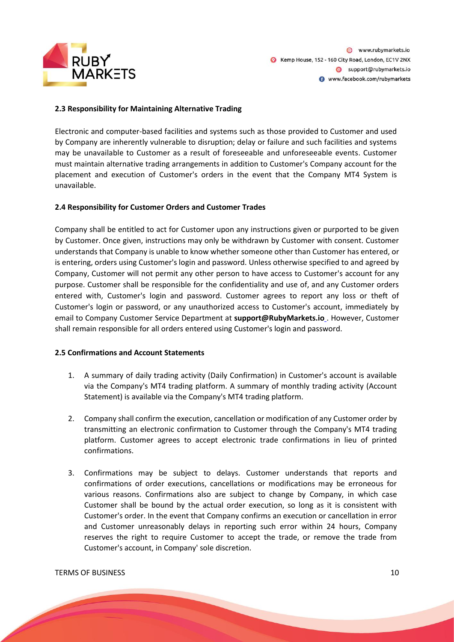

# **2.3 Responsibility for Maintaining Alternative Trading**

Electronic and computer-based facilities and systems such as those provided to Customer and used by Company are inherently vulnerable to disruption; delay or failure and such facilities and systems may be unavailable to Customer as a result of foreseeable and unforeseeable events. Customer must maintain alternative trading arrangements in addition to Customer's Company account for the placement and execution of Customer's orders in the event that the Company MT4 System is unavailable.

#### **2.4 Responsibility for Customer Orders and Customer Trades**

Company shall be entitled to act for Customer upon any instructions given or purported to be given by Customer. Once given, instructions may only be withdrawn by Customer with consent. Customer understands that Company is unable to know whether someone other than Customer has entered, or is entering, orders using Customer's login and password. Unless otherwise specified to and agreed by Company, Customer will not permit any other person to have access to Customer's account for any purpose. Customer shall be responsible for the confidentiality and use of, and any Customer orders entered with, Customer's login and password. Customer agrees to report any loss or theft of Customer's login or password, or any unauthorized access to Customer's account, immediately by email to Company Customer Service Department at **support@RubyMarkets.io** . However, Customer shall remain responsible for all orders entered using Customer's login and password.

#### **2.5 Confirmations and Account Statements**

- 1. A summary of daily trading activity (Daily Confirmation) in Customer's account is available via the Company's MT4 trading platform. A summary of monthly trading activity (Account Statement) is available via the Company's MT4 trading platform.
- 2. Company shall confirm the execution, cancellation or modification of any Customer order by transmitting an electronic confirmation to Customer through the Company's MT4 trading platform. Customer agrees to accept electronic trade confirmations in lieu of printed confirmations.
- 3. Confirmations may be subject to delays. Customer understands that reports and confirmations of order executions, cancellations or modifications may be erroneous for various reasons. Confirmations also are subject to change by Company, in which case Customer shall be bound by the actual order execution, so long as it is consistent with Customer's order. In the event that Company confirms an execution or cancellation in error and Customer unreasonably delays in reporting such error within 24 hours, Company reserves the right to require Customer to accept the trade, or remove the trade from Customer's account, in Company' sole discretion.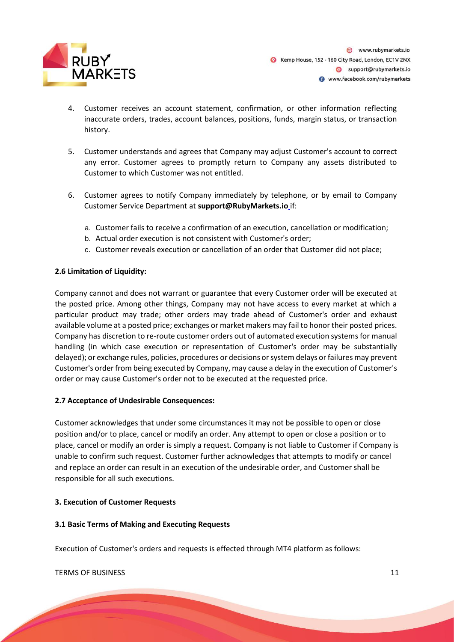

- 4. Customer receives an account statement, confirmation, or other information reflecting inaccurate orders, trades, account balances, positions, funds, margin status, or transaction history.
- 5. Customer understands and agrees that Company may adjust Customer's account to correct any error. Customer agrees to promptly return to Company any assets distributed to Customer to which Customer was not entitled.
- 6. Customer agrees to notify Company immediately by telephone, or by email to Company Customer Service Department at **support@RubyMarkets.io** if:
	- a. Customer fails to receive a confirmation of an execution, cancellation or modification;
	- b. Actual order execution is not consistent with Customer's order;
	- c. Customer reveals execution or cancellation of an order that Customer did not place;

# **2.6 Limitation of Liquidity:**

Company cannot and does not warrant or guarantee that every Customer order will be executed at the posted price. Among other things, Company may not have access to every market at which a particular product may trade; other orders may trade ahead of Customer's order and exhaust available volume at a posted price; exchanges or market makers may fail to honor their posted prices. Company has discretion to re-route customer orders out of automated execution systems for manual handling (in which case execution or representation of Customer's order may be substantially delayed); or exchange rules, policies, procedures or decisions or system delays or failures may prevent Customer's order from being executed by Company, may cause a delay in the execution of Customer's order or may cause Customer's order not to be executed at the requested price.

# **2.7 Acceptance of Undesirable Consequences:**

Customer acknowledges that under some circumstances it may not be possible to open or close position and/or to place, cancel or modify an order. Any attempt to open or close a position or to place, cancel or modify an order is simply a request. Company is not liable to Customer if Company is unable to confirm such request. Customer further acknowledges that attempts to modify or cancel and replace an order can result in an execution of the undesirable order, and Customer shall be responsible for all such executions.

# **3. Execution of Customer Requests**

# **3.1 Basic Terms of Making and Executing Requests**

Execution of Customer's orders and requests is effected through MT4 platform as follows: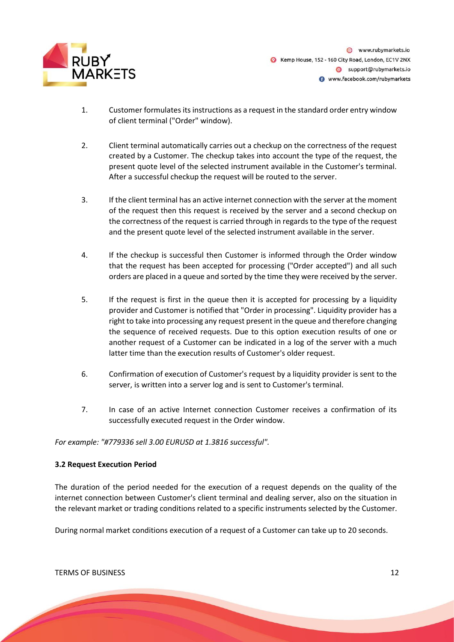

@ www.rubymarkets.jo Kemp House, 152 - 160 City Road, London, EC1V 2NX Support@rubymarkets.io www.facebook.com/rubymarkets

- 1. Customer formulates its instructions as a request in the standard order entry window of client terminal ("Order" window).
- 2. Client terminal automatically carries out a checkup on the correctness of the request created by a Customer. The checkup takes into account the type of the request, the present quote level of the selected instrument available in the Customer's terminal. After a successful checkup the request will be routed to the server.
- 3. If the client terminal has an active internet connection with the server at the moment of the request then this request is received by the server and a second checkup on the correctness of the request is carried through in regards to the type of the request and the present quote level of the selected instrument available in the server.
- 4. If the checkup is successful then Customer is informed through the Order window that the request has been accepted for processing ("Order accepted") and all such orders are placed in a queue and sorted by the time they were received by the server.
- 5. If the request is first in the queue then it is accepted for processing by a liquidity provider and Customer is notified that "Order in processing". Liquidity provider has a right to take into processing any request present in the queue and therefore changing the sequence of received requests. Due to this option execution results of one or another request of a Customer can be indicated in a log of the server with a much latter time than the execution results of Customer's older request.
- 6. Confirmation of execution of Customer's request by a liquidity provider is sent to the server, is written into a server log and is sent to Customer's terminal.
- 7. In case of an active Internet connection Customer receives a confirmation of its successfully executed request in the Order window.

# *For example: "#779336 sell 3.00 EURUSD at 1.3816 successful".*

# **3.2 Request Execution Period**

The duration of the period needed for the execution of a request depends on the quality of the internet connection between Customer's client terminal and dealing server, also on the situation in the relevant market or trading conditions related to a specific instruments selected by the Customer.

During normal market conditions execution of a request of a Customer can take up to 20 seconds.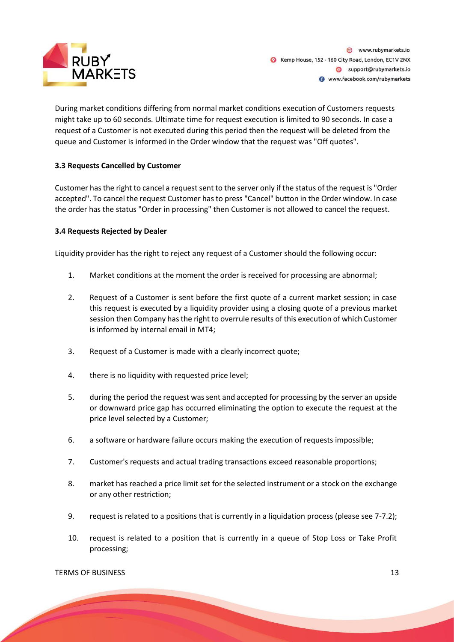

During market conditions differing from normal market conditions execution of Customers requests might take up to 60 seconds. Ultimate time for request execution is limited to 90 seconds. In case a request of a Customer is not executed during this period then the request will be deleted from the queue and Customer is informed in the Order window that the request was "Off quotes".

# **3.3 Requests Cancelled by Customer**

Customer has the right to cancel a request sent to the server only if the status of the request is "Order accepted". To cancel the request Customer has to press "Cancel" button in the Order window. In case the order has the status "Order in processing" then Customer is not allowed to cancel the request.

# **3.4 Requests Rejected by Dealer**

Liquidity provider has the right to reject any request of a Customer should the following occur:

- 1. Market conditions at the moment the order is received for processing are abnormal;
- 2. Request of a Customer is sent before the first quote of a current market session; in case this request is executed by a liquidity provider using a closing quote of a previous market session then Company has the right to overrule results of this execution of which Customer is informed by internal email in MT4;
- 3. Request of a Customer is made with a clearly incorrect quote;
- 4. there is no liquidity with requested price level;
- 5. during the period the request was sent and accepted for processing by the server an upside or downward price gap has occurred eliminating the option to execute the request at the price level selected by a Customer;
- 6. a software or hardware failure occurs making the execution of requests impossible;
- 7. Customer's requests and actual trading transactions exceed reasonable proportions;
- 8. market has reached a price limit set for the selected instrument or a stock on the exchange or any other restriction;
- 9. request is related to a positions that is currently in a liquidation process (please see 7-7.2);
- 10. request is related to a position that is currently in a queue of Stop Loss or Take Profit processing;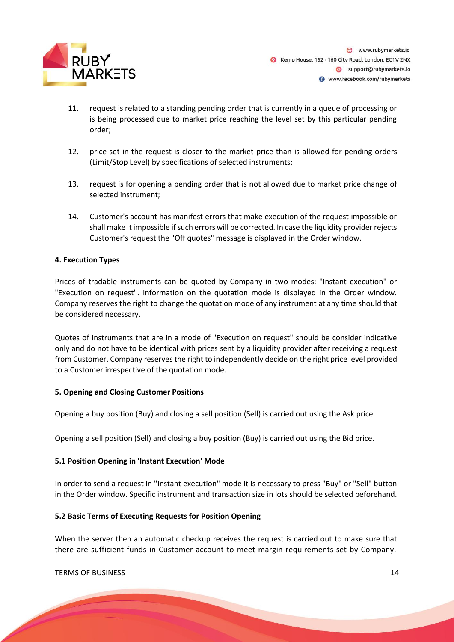

- 11. request is related to a standing pending order that is currently in a queue of processing or is being processed due to market price reaching the level set by this particular pending order;
- 12. price set in the request is closer to the market price than is allowed for pending orders (Limit/Stop Level) by specifications of selected instruments;
- 13. request is for opening a pending order that is not allowed due to market price change of selected instrument;
- 14. Customer's account has manifest errors that make execution of the request impossible or shall make it impossible if such errors will be corrected. In case the liquidity provider rejects Customer's request the "Off quotes" message is displayed in the Order window.

# **4. Execution Types**

Prices of tradable instruments can be quoted by Company in two modes: "Instant execution" or "Execution on request". Information on the quotation mode is displayed in the Order window. Company reserves the right to change the quotation mode of any instrument at any time should that be considered necessary.

Quotes of instruments that are in a mode of "Execution on request" should be consider indicative only and do not have to be identical with prices sent by a liquidity provider after receiving a request from Customer. Company reserves the right to independently decide on the right price level provided to a Customer irrespective of the quotation mode.

#### **5. Opening and Closing Customer Positions**

Opening a buy position (Buy) and closing a sell position (Sell) is carried out using the Ask price.

Opening a sell position (Sell) and closing a buy position (Buy) is carried out using the Bid price.

# **5.1 Position Opening in 'Instant Execution' Mode**

In order to send a request in "Instant execution" mode it is necessary to press "Buy" or "Sell" button in the Order window. Specific instrument and transaction size in lots should be selected beforehand.

#### **5.2 Basic Terms of Executing Requests for Position Opening**

When the server then an automatic checkup receives the request is carried out to make sure that there are sufficient funds in Customer account to meet margin requirements set by Company.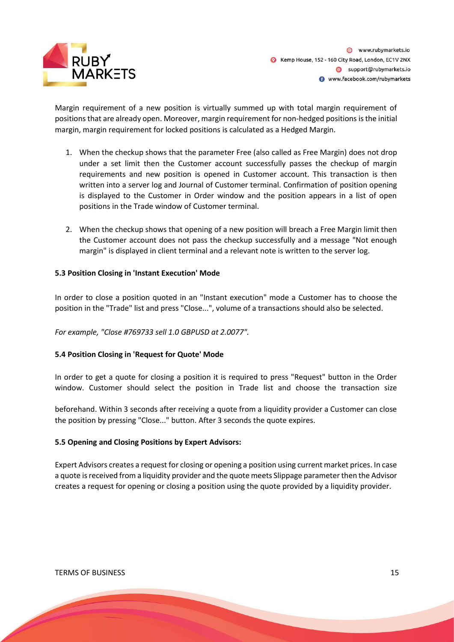

Margin requirement of a new position is virtually summed up with total margin requirement of positions that are already open. Moreover, margin requirement for non-hedged positions is the initial margin, margin requirement for locked positions is calculated as a Hedged Margin.

- 1. When the checkup shows that the parameter Free (also called as Free Margin) does not drop under a set limit then the Customer account successfully passes the checkup of margin requirements and new position is opened in Customer account. This transaction is then written into a server log and Journal of Customer terminal. Confirmation of position opening is displayed to the Customer in Order window and the position appears in a list of open positions in the Trade window of Customer terminal.
- 2. When the checkup shows that opening of a new position will breach a Free Margin limit then the Customer account does not pass the checkup successfully and a message "Not enough margin" is displayed in client terminal and a relevant note is written to the server log.

# **5.3 Position Closing in 'Instant Execution' Mode**

In order to close a position quoted in an "Instant execution" mode a Customer has to choose the position in the "Trade" list and press "Close...", volume of a transactions should also be selected.

# *For example, "Close #769733 sell 1.0 GBPUSD at 2.0077".*

# **5.4 Position Closing in 'Request for Quote' Mode**

In order to get a quote for closing a position it is required to press "Request" button in the Order window. Customer should select the position in Trade list and choose the transaction size

beforehand. Within 3 seconds after receiving a quote from a liquidity provider a Customer can close the position by pressing "Close..." button. After 3 seconds the quote expires.

#### **5.5 Opening and Closing Positions by Expert Advisors:**

Expert Advisors creates a request for closing or opening a position using current market prices. In case a quote is received from a liquidity provider and the quote meets Slippage parameter then the Advisor creates a request for opening or closing a position using the quote provided by a liquidity provider.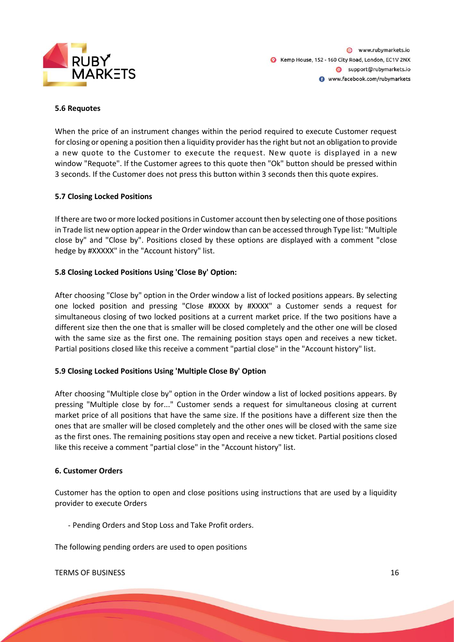

@ www.rubymarkets.jo Kemp House, 152 - 160 City Road, London, EC1V 2NX Support@rubymarkets.io www.facebook.com/rubymarkets

#### **5.6 Requotes**

When the price of an instrument changes within the period required to execute Customer request for closing or opening a position then a liquidity provider has the right but not an obligation to provide a new quote to the Customer to execute the request. New quote is displayed in a new window "Requote". If the Customer agrees to this quote then "Ok" button should be pressed within 3 seconds. If the Customer does not press this button within 3 seconds then this quote expires.

# **5.7 Closing Locked Positions**

If there are two or more locked positions in Customer account then by selecting one of those positions in Trade list new option appear in the Order window than can be accessed through Type list: "Multiple close by" and "Close by". Positions closed by these options are displayed with a comment "close hedge by #XXXXX" in the "Account history" list.

#### **5.8 Closing Locked Positions Using 'Close By' Option:**

After choosing "Close by" option in the Order window a list of locked positions appears. By selecting one locked position and pressing "Close #XXXX by #XXXX" a Customer sends a request for simultaneous closing of two locked positions at a current market price. If the two positions have a different size then the one that is smaller will be closed completely and the other one will be closed with the same size as the first one. The remaining position stays open and receives a new ticket. Partial positions closed like this receive a comment "partial close" in the "Account history" list.

#### **5.9 Closing Locked Positions Using 'Multiple Close By' Option**

After choosing "Multiple close by" option in the Order window a list of locked positions appears. By pressing "Multiple close by for..." Customer sends a request for simultaneous closing at current market price of all positions that have the same size. If the positions have a different size then the ones that are smaller will be closed completely and the other ones will be closed with the same size as the first ones. The remaining positions stay open and receive a new ticket. Partial positions closed like this receive a comment "partial close" in the "Account history" list.

#### **6. Customer Orders**

Customer has the option to open and close positions using instructions that are used by a liquidity provider to execute Orders

- Pending Orders and Stop Loss and Take Profit orders.

The following pending orders are used to open positions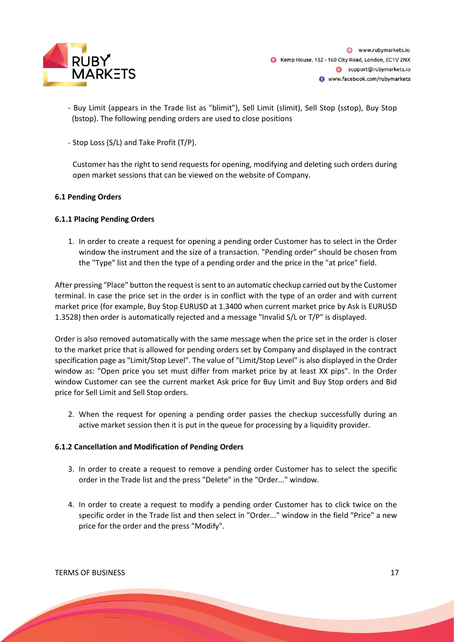

- Buy Limit (appears in the Trade list as "blimit"), Sell Limit (slimit), Sell Stop (sstop), Buy Stop (bstop). The following pending orders are used to close positions
- Stop Loss (S/L) and Take Profit (T/P).

Customer has the right to send requests for opening, modifying and deleting such orders during open market sessions that can be viewed on the website of Company.

# **6.1 Pending Orders**

#### **6.1.1 Placing Pending Orders**

1. In order to create a request for opening a pending order Customer has to select in the Order window the instrument and the size of a transaction. "Pending order" should be chosen from the "Type" list and then the type of a pending order and the price in the "at price" field.

After pressing "Place" button the request is sent to an automatic checkup carried out by the Customer terminal. In case the price set in the order is in conflict with the type of an order and with current market price (for example, Buy Stop EURUSD at 1.3400 when current market price by Ask is EURUSD 1.3528) then order is automatically rejected and a message "Invalid S/L or T/P" is displayed.

Order is also removed automatically with the same message when the price set in the order is closer to the market price that is allowed for pending orders set by Company and displayed in the contract specification page as "Limit/Stop Level". The value of "Limit/Stop Level" is also displayed in the Order window as: "Open price you set must differ from market price by at least XX pips". In the Order window Customer can see the current market Ask price for Buy Limit and Buy Stop orders and Bid price for Sell Limit and Sell Stop orders.

2. When the request for opening a pending order passes the checkup successfully during an active market session then it is put in the queue for processing by a liquidity provider.

#### **6.1.2 Cancellation and Modification of Pending Orders**

- 3. In order to create a request to remove a pending order Customer has to select the specific order in the Trade list and the press "Delete" in the "Order..." window.
- 4. In order to create a request to modify a pending order Customer has to click twice on the specific order in the Trade list and then select in "Order..." window in the field "Price" a new price for the order and the press "Modify".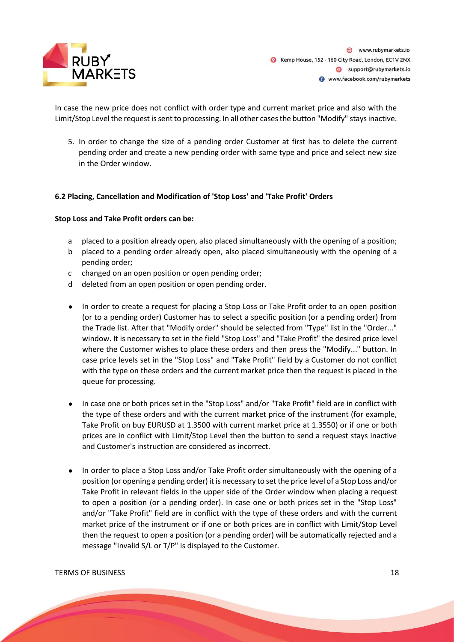

In case the new price does not conflict with order type and current market price and also with the Limit/Stop Level the request is sent to processing. In all other cases the button "Modify" stays inactive.

5. In order to change the size of a pending order Customer at first has to delete the current pending order and create a new pending order with same type and price and select new size in the Order window.

#### **6.2 Placing, Cancellation and Modification of 'Stop Loss' and 'Take Profit' Orders**

#### **Stop Loss and Take Profit orders can be:**

- a placed to a position already open, also placed simultaneously with the opening of a position;
- b placed to a pending order already open, also placed simultaneously with the opening of a pending order;
- c changed on an open position or open pending order;
- d deleted from an open position or open pending order.
- In order to create a request for placing a Stop Loss or Take Profit order to an open position (or to a pending order) Customer has to select a specific position (or a pending order) from the Trade list. After that "Modify order" should be selected from "Type" list in the "Order..." window. It is necessary to set in the field "Stop Loss" and "Take Profit" the desired price level where the Customer wishes to place these orders and then press the "Modify..." button. In case price levels set in the "Stop Loss" and "Take Profit" field by a Customer do not conflict with the type on these orders and the current market price then the request is placed in the queue for processing.
- In case one or both prices set in the "Stop Loss" and/or "Take Profit" field are in conflict with the type of these orders and with the current market price of the instrument (for example, Take Profit on buy EURUSD at 1.3500 with current market price at 1.3550) or if one or both prices are in conflict with Limit/Stop Level then the button to send a request stays inactive and Customer's instruction are considered as incorrect.
- In order to place a Stop Loss and/or Take Profit order simultaneously with the opening of a position (or opening a pending order) it is necessary to set the price level of a Stop Loss and/or Take Profit in relevant fields in the upper side of the Order window when placing a request to open a position (or a pending order). In case one or both prices set in the "Stop Loss" and/or "Take Profit" field are in conflict with the type of these orders and with the current market price of the instrument or if one or both prices are in conflict with Limit/Stop Level then the request to open a position (or a pending order) will be automatically rejected and a message "Invalid S/L or T/P" is displayed to the Customer.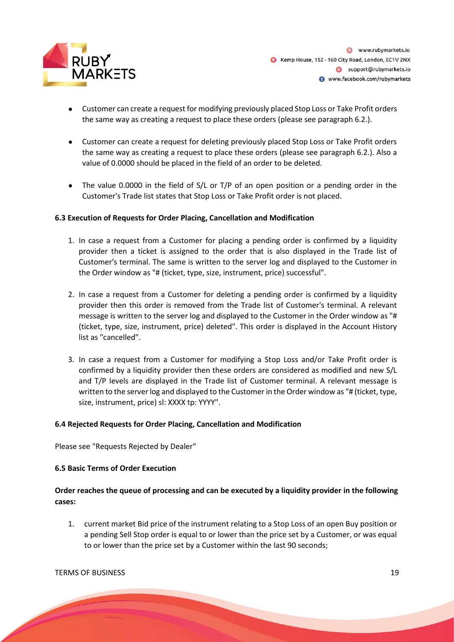

- Customer can create a request for modifying previously placed Stop Loss or Take Profit orders the same way as creating a request to place these orders (please see paragraph 6.2.).
- Customer can create a request for deleting previously placed Stop Loss or Take Profit orders the same way as creating a request to place these orders (please see paragraph 6.2.). Also a value of 0.0000 should be placed in the field of an order to be deleted.
- The value 0.0000 in the field of S/L or T/P of an open position or a pending order in the Customer's Trade list states that Stop Loss or Take Profit order is not placed.

# **6.3 Execution of Requests for Order Placing, Cancellation and Modification**

- 1. In case a request from a Customer for placing a pending order is confirmed by a liquidity provider then a ticket is assigned to the order that is also displayed in the Trade list of Customer's terminal. The same is written to the server log and displayed to the Customer in the Order window as "# (ticket, type, size, instrument, price) successful".
- 2. In case a request from a Customer for deleting a pending order is confirmed by a liquidity provider then this order is removed from the Trade list of Customer's terminal. A relevant message is written to the server log and displayed to the Customer in the Order window as "# (ticket, type, size, instrument, price) deleted". This order is displayed in the Account History list as "cancelled".
- 3. In case a request from a Customer for modifying a Stop Loss and/or Take Profit order is confirmed by a liquidity provider then these orders are considered as modified and new S/L and T/P levels are displayed in the Trade list of Customer terminal. A relevant message is written to the server log and displayed to the Customer in the Order window as "# (ticket, type, size, instrument, price) sl: XXXX tp: YYYY".

#### **6.4 Rejected Requests for Order Placing, Cancellation and Modification**

Please see "Requests Rejected by Dealer"

#### **6.5 Basic Terms of Order Execution**

# **Order reaches the queue of processing and can be executed by a liquidity provider in the following cases:**

1. current market Bid price of the instrument relating to a Stop Loss of an open Buy position or a pending Sell Stop order is equal to or lower than the price set by a Customer, or was equal to or lower than the price set by a Customer within the last 90 seconds;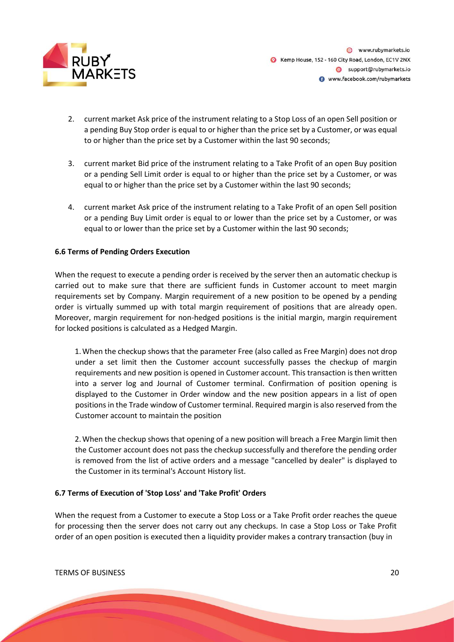

- 2. current market Ask price of the instrument relating to a Stop Loss of an open Sell position or a pending Buy Stop order is equal to or higher than the price set by a Customer, or was equal to or higher than the price set by a Customer within the last 90 seconds;
- 3. current market Bid price of the instrument relating to a Take Profit of an open Buy position or a pending Sell Limit order is equal to or higher than the price set by a Customer, or was equal to or higher than the price set by a Customer within the last 90 seconds;
- 4. current market Ask price of the instrument relating to a Take Profit of an open Sell position or a pending Buy Limit order is equal to or lower than the price set by a Customer, or was equal to or lower than the price set by a Customer within the last 90 seconds;

# **6.6 Terms of Pending Orders Execution**

When the request to execute a pending order is received by the server then an automatic checkup is carried out to make sure that there are sufficient funds in Customer account to meet margin requirements set by Company. Margin requirement of a new position to be opened by a pending order is virtually summed up with total margin requirement of positions that are already open. Moreover, margin requirement for non-hedged positions is the initial margin, margin requirement for locked positions is calculated as a Hedged Margin.

1.When the checkup shows that the parameter Free (also called as Free Margin) does not drop under a set limit then the Customer account successfully passes the checkup of margin requirements and new position is opened in Customer account. This transaction is then written into a server log and Journal of Customer terminal. Confirmation of position opening is displayed to the Customer in Order window and the new position appears in a list of open positions in the Trade window of Customer terminal. Required margin is also reserved from the Customer account to maintain the position

2.When the checkup shows that opening of a new position will breach a Free Margin limit then the Customer account does not pass the checkup successfully and therefore the pending order is removed from the list of active orders and a message "cancelled by dealer" is displayed to the Customer in its terminal's Account History list.

# **6.7 Terms of Execution of 'Stop Loss' and 'Take Profit' Orders**

When the request from a Customer to execute a Stop Loss or a Take Profit order reaches the queue for processing then the server does not carry out any checkups. In case a Stop Loss or Take Profit order of an open position is executed then a liquidity provider makes a contrary transaction (buy in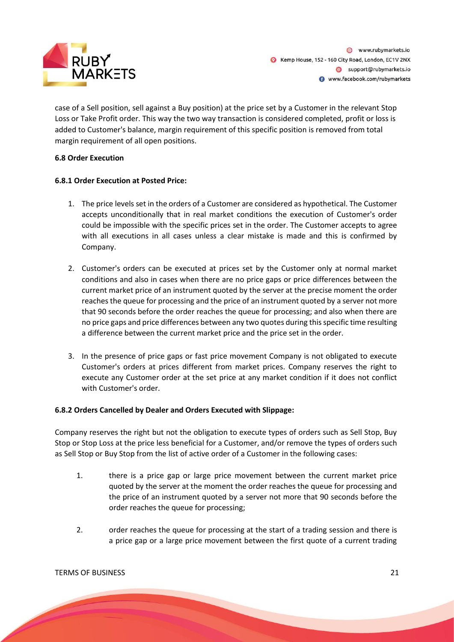

@ www.rubymarkets.jo Kemp House, 152 - 160 City Road, London, EC1V 2NX Support@rubymarkets.io www.facebook.com/rubymarkets

case of a Sell position, sell against a Buy position) at the price set by a Customer in the relevant Stop Loss or Take Profit order. This way the two way transaction is considered completed, profit or loss is added to Customer's balance, margin requirement of this specific position is removed from total margin requirement of all open positions.

# **6.8 Order Execution**

# **6.8.1 Order Execution at Posted Price:**

- 1. The price levels set in the orders of a Customer are considered as hypothetical. The Customer accepts unconditionally that in real market conditions the execution of Customer's order could be impossible with the specific prices set in the order. The Customer accepts to agree with all executions in all cases unless a clear mistake is made and this is confirmed by Company.
- 2. Customer's orders can be executed at prices set by the Customer only at normal market conditions and also in cases when there are no price gaps or price differences between the current market price of an instrument quoted by the server at the precise moment the order reaches the queue for processing and the price of an instrument quoted by a server not more that 90 seconds before the order reaches the queue for processing; and also when there are no price gaps and price differences between any two quotes during this specific time resulting a difference between the current market price and the price set in the order.
- 3. In the presence of price gaps or fast price movement Company is not obligated to execute Customer's orders at prices different from market prices. Company reserves the right to execute any Customer order at the set price at any market condition if it does not conflict with Customer's order.

# **6.8.2 Orders Cancelled by Dealer and Orders Executed with Slippage:**

Company reserves the right but not the obligation to execute types of orders such as Sell Stop, Buy Stop or Stop Loss at the price less beneficial for a Customer, and/or remove the types of orders such as Sell Stop or Buy Stop from the list of active order of a Customer in the following cases:

- 1. there is a price gap or large price movement between the current market price quoted by the server at the moment the order reaches the queue for processing and the price of an instrument quoted by a server not more that 90 seconds before the order reaches the queue for processing;
- 2. order reaches the queue for processing at the start of a trading session and there is a price gap or a large price movement between the first quote of a current trading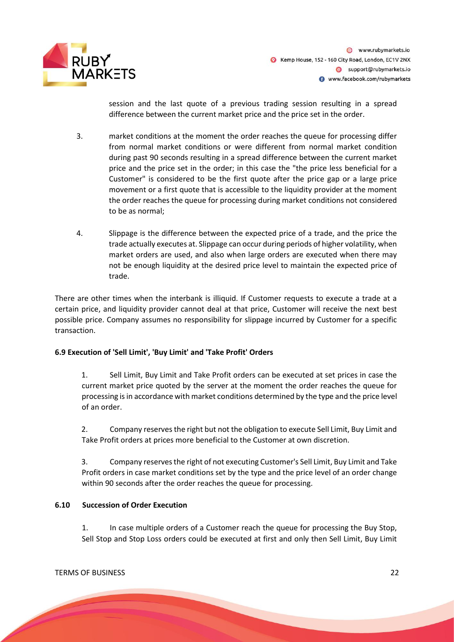

session and the last quote of a previous trading session resulting in a spread difference between the current market price and the price set in the order.

- 3. market conditions at the moment the order reaches the queue for processing differ from normal market conditions or were different from normal market condition during past 90 seconds resulting in a spread difference between the current market price and the price set in the order; in this case the "the price less beneficial for a Customer" is considered to be the first quote after the price gap or a large price movement or a first quote that is accessible to the liquidity provider at the moment the order reaches the queue for processing during market conditions not considered to be as normal;
- 4. Slippage is the difference between the expected price of a trade, and the price the trade actually executes at. Slippage can occur during periods of higher volatility, when market orders are used, and also when large orders are executed when there may not be enough liquidity at the desired price level to maintain the expected price of trade.

There are other times when the interbank is illiquid. If Customer requests to execute a trade at a certain price, and liquidity provider cannot deal at that price, Customer will receive the next best possible price. Company assumes no responsibility for slippage incurred by Customer for a specific transaction.

# **6.9 Execution of 'Sell Limit', 'Buy Limit' and 'Take Profit' Orders**

1. Sell Limit, Buy Limit and Take Profit orders can be executed at set prices in case the current market price quoted by the server at the moment the order reaches the queue for processing is in accordance with market conditions determined by the type and the price level of an order.

2. Company reserves the right but not the obligation to execute Sell Limit, Buy Limit and Take Profit orders at prices more beneficial to the Customer at own discretion.

3. Company reserves the right of not executing Customer's Sell Limit, Buy Limit and Take Profit orders in case market conditions set by the type and the price level of an order change within 90 seconds after the order reaches the queue for processing.

# **6.10 Succession of Order Execution**

1. In case multiple orders of a Customer reach the queue for processing the Buy Stop, Sell Stop and Stop Loss orders could be executed at first and only then Sell Limit, Buy Limit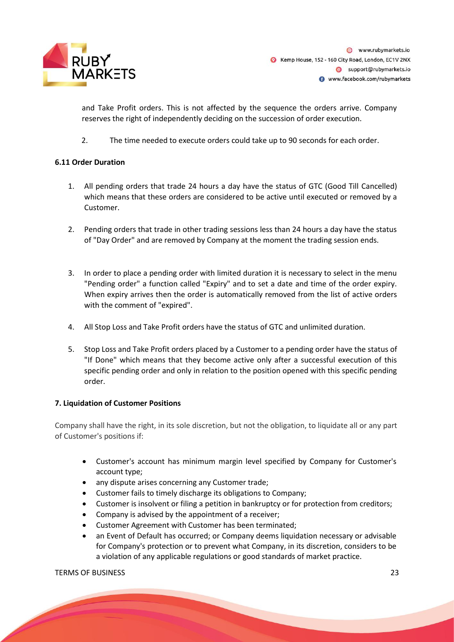

@ www.rubymarkets.io Kemp House, 152 - 160 City Road, London, EC1V 2NX Support@rubymarkets.io www.facebook.com/rubymarkets

and Take Profit orders. This is not affected by the sequence the orders arrive. Company reserves the right of independently deciding on the succession of order execution.

2. The time needed to execute orders could take up to 90 seconds for each order.

# **6.11 Order Duration**

- 1. All pending orders that trade 24 hours a day have the status of GTC (Good Till Cancelled) which means that these orders are considered to be active until executed or removed by a Customer.
- 2. Pending orders that trade in other trading sessions less than 24 hours a day have the status of "Day Order" and are removed by Company at the moment the trading session ends.
- 3. In order to place a pending order with limited duration it is necessary to select in the menu "Pending order" a function called "Expiry" and to set a date and time of the order expiry. When expiry arrives then the order is automatically removed from the list of active orders with the comment of "expired".
- 4. All Stop Loss and Take Profit orders have the status of GTC and unlimited duration.
- 5. Stop Loss and Take Profit orders placed by a Customer to a pending order have the status of "If Done" which means that they become active only after a successful execution of this specific pending order and only in relation to the position opened with this specific pending order.

# **7. Liquidation of Customer Positions**

Company shall have the right, in its sole discretion, but not the obligation, to liquidate all or any part of Customer's positions if:

- Customer's account has minimum margin level specified by Company for Customer's account type;
- any dispute arises concerning any Customer trade;
- Customer fails to timely discharge its obligations to Company;
- Customer is insolvent or filing a petition in bankruptcy or for protection from creditors;
- Company is advised by the appointment of a receiver;
- Customer Agreement with Customer has been terminated;
- an Event of Default has occurred; or Company deems liquidation necessary or advisable for Company's protection or to prevent what Company, in its discretion, considers to be a violation of any applicable regulations or good standards of market practice.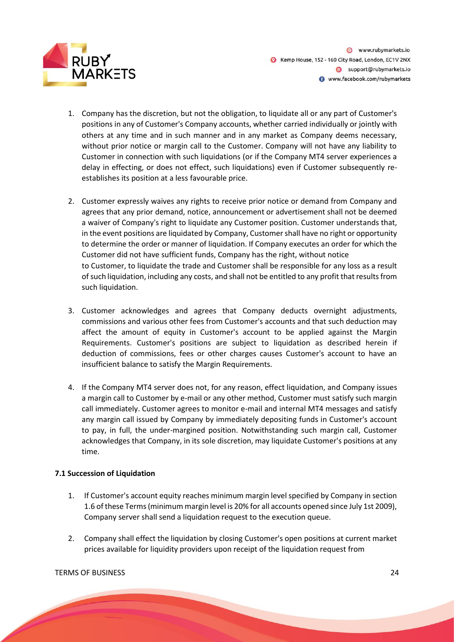

@ www.rubymarkets.io Kemp House, 152 - 160 City Road, London, EC1V 2NX Support@rubymarkets.io www.facebook.com/rubymarkets

- 1. Company has the discretion, but not the obligation, to liquidate all or any part of Customer's positions in any of Customer's Company accounts, whether carried individually or jointly with others at any time and in such manner and in any market as Company deems necessary, without prior notice or margin call to the Customer. Company will not have any liability to Customer in connection with such liquidations (or if the Company MT4 server experiences a delay in effecting, or does not effect, such liquidations) even if Customer subsequently reestablishes its position at a less favourable price.
- 2. Customer expressly waives any rights to receive prior notice or demand from Company and agrees that any prior demand, notice, announcement or advertisement shall not be deemed a waiver of Company's right to liquidate any Customer position. Customer understands that, in the event positions are liquidated by Company, Customer shall have no right or opportunity to determine the order or manner of liquidation. If Company executes an order for which the Customer did not have sufficient funds, Company has the right, without notice to Customer, to liquidate the trade and Customer shall be responsible for any loss as a result of such liquidation, including any costs, and shall not be entitled to any profit that results from such liquidation.
- 3. Customer acknowledges and agrees that Company deducts overnight adjustments, commissions and various other fees from Customer's accounts and that such deduction may affect the amount of equity in Customer's account to be applied against the Margin Requirements. Customer's positions are subject to liquidation as described herein if deduction of commissions, fees or other charges causes Customer's account to have an insufficient balance to satisfy the Margin Requirements.
- 4. If the Company MT4 server does not, for any reason, effect liquidation, and Company issues a margin call to Customer by e-mail or any other method, Customer must satisfy such margin call immediately. Customer agrees to monitor e-mail and internal MT4 messages and satisfy any margin call issued by Company by immediately depositing funds in Customer's account to pay, in full, the under-margined position. Notwithstanding such margin call, Customer acknowledges that Company, in its sole discretion, may liquidate Customer's positions at any time.

# **7.1 Succession of Liquidation**

- 1. If Customer's account equity reaches minimum margin level specified by Company in section 1.6 of these Terms (minimum margin level is 20% for all accounts opened since July 1st 2009), Company server shall send a liquidation request to the execution queue.
- 2. Company shall effect the liquidation by closing Customer's open positions at current market prices available for liquidity providers upon receipt of the liquidation request from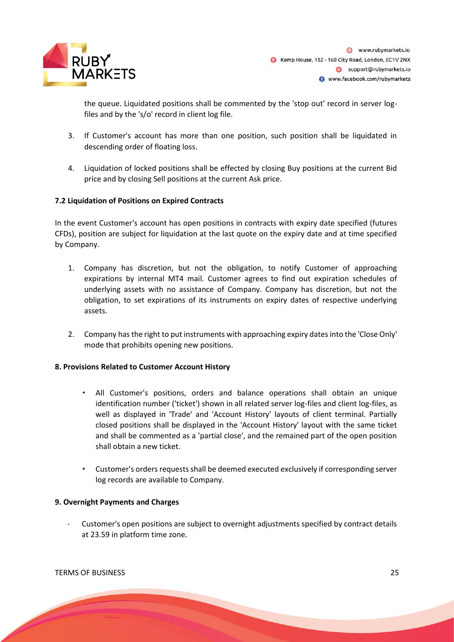

the queue. Liquidated positions shall be commented by the 'stop out' record in server logfiles and by the 's/o' record in client log file.

- 3. If Customer's account has more than one position, such position shall be liquidated in descending order of floating loss.
- 4. Liquidation of locked positions shall be effected by closing Buy positions at the current Bid price and by closing Sell positions at the current Ask price.

# **7.2 Liquidation of Positions on Expired Contracts**

In the event Customer's account has open positions in contracts with expiry date specified (futures CFDs), position are subject for liquidation at the last quote on the expiry date and at time specified by Company.

- 1. Company has discretion, but not the obligation, to notify Customer of approaching expirations by internal MT4 mail. Customer agrees to find out expiration schedules of underlying assets with no assistance of Company. Company has discretion, but not the obligation, to set expirations of its instruments on expiry dates of respective underlying assets.
- 2. Company has the right to put instruments with approaching expiry dates into the 'Close Only' mode that prohibits opening new positions.

# **8. Provisions Related to Customer Account History**

- All Customer's positions, orders and balance operations shall obtain an unique identification number ('ticket') shown in all related server log-files and client log-files, as well as displayed in 'Trade' and 'Account History' layouts of client terminal. Partially closed positions shall be displayed in the 'Account History' layout with the same ticket and shall be commented as a 'partial close', and the remained part of the open position shall obtain a new ticket.
- Customer's orders requests shall be deemed executed exclusively if corresponding server log records are available to Company.

# **9. Overnight Payments and Charges**

• Customer's open positions are subject to overnight adjustments specified by contract details at 23.59 in platform time zone.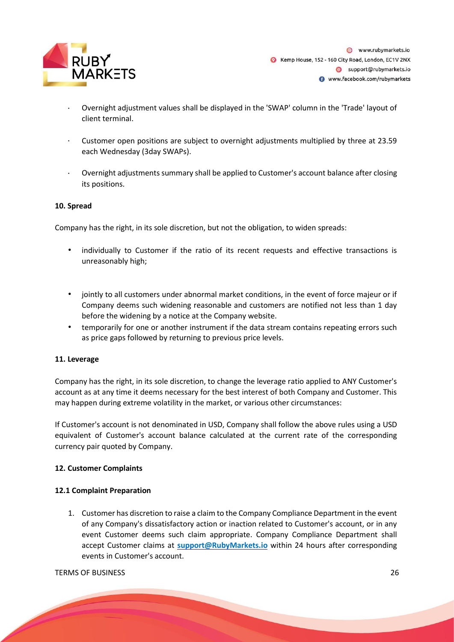

- Overnight adjustment values shall be displayed in the 'SWAP' column in the 'Trade' layout of client terminal.
- Customer open positions are subject to overnight adjustments multiplied by three at 23.59 each Wednesday (3day SWAPs).
- Overnight adjustments summary shall be applied to Customer's account balance after closing its positions.

# **10. Spread**

Company has the right, in its sole discretion, but not the obligation, to widen spreads:

- individually to Customer if the ratio of its recent requests and effective transactions is unreasonably high;
- jointly to all customers under abnormal market conditions, in the event of force majeur or if Company deems such widening reasonable and customers are notified not less than 1 day before the widening by a notice at the Company website.
- temporarily for one or another instrument if the data stream contains repeating errors such as price gaps followed by returning to previous price levels.

# **11. Leverage**

Company has the right, in its sole discretion, to change the leverage ratio applied to ANY Customer's account as at any time it deems necessary for the best interest of both Company and Customer. This may happen during extreme volatility in the market, or various other circumstances:

If Customer's account is not denominated in USD, Company shall follow the above rules using a USD equivalent of Customer's account balance calculated at the current rate of the corresponding currency pair quoted by Company.

# **12. Customer Complaints**

# **12.1 Complaint Preparation**

1. Customer has discretion to raise a claim to the Company Compliance Department in the event of any Company's dissatisfactory action or inaction related to Customer's account, or in any event Customer deems such claim appropriate. Company Compliance Department shall accept Customer claims at **support@RubyMarkets.io** within 24 hours after corresponding events in Customer's account.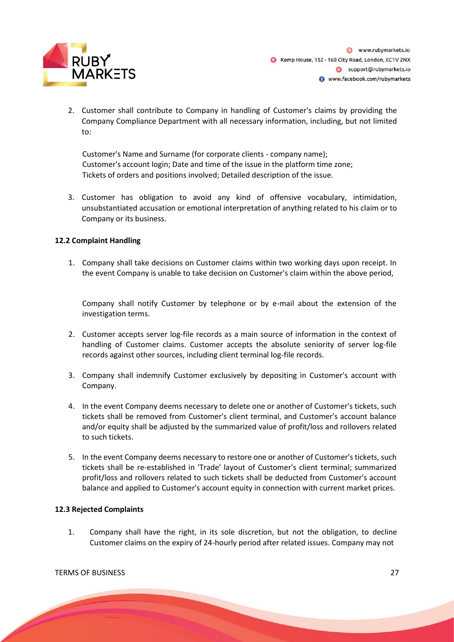

2. Customer shall contribute to Company in handling of Customer's claims by providing the Company Compliance Department with all necessary information, including, but not limited to:

Customer's Name and Surname (for corporate clients - company name); Customer's account login; Date and time of the issue in the platform time zone; Tickets of orders and positions involved; Detailed description of the issue.

3. Customer has obligation to avoid any kind of offensive vocabulary, intimidation, unsubstantiated accusation or emotional interpretation of anything related to his claim or to Company or its business.

# **12.2 Complaint Handling**

1. Company shall take decisions on Customer claims within two working days upon receipt. In the event Company is unable to take decision on Customer's claim within the above period,

Company shall notify Customer by telephone or by e-mail about the extension of the investigation terms.

- 2. Customer accepts server log-file records as a main source of information in the context of handling of Customer claims. Customer accepts the absolute seniority of server log-file records against other sources, including client terminal log-file records.
- 3. Company shall indemnify Customer exclusively by depositing in Customer's account with Company.
- 4. In the event Company deems necessary to delete one or another of Customer's tickets, such tickets shall be removed from Customer's client terminal, and Customer's account balance and/or equity shall be adjusted by the summarized value of profit/loss and rollovers related to such tickets.
- 5. In the event Company deems necessary to restore one or another of Customer's tickets, such tickets shall be re-established in 'Trade' layout of Customer's client terminal; summarized profit/loss and rollovers related to such tickets shall be deducted from Customer's account balance and applied to Customer's account equity in connection with current market prices.

# **12.3 Rejected Complaints**

1. Company shall have the right, in its sole discretion, but not the obligation, to decline Customer claims on the expiry of 24-hourly period after related issues. Company may not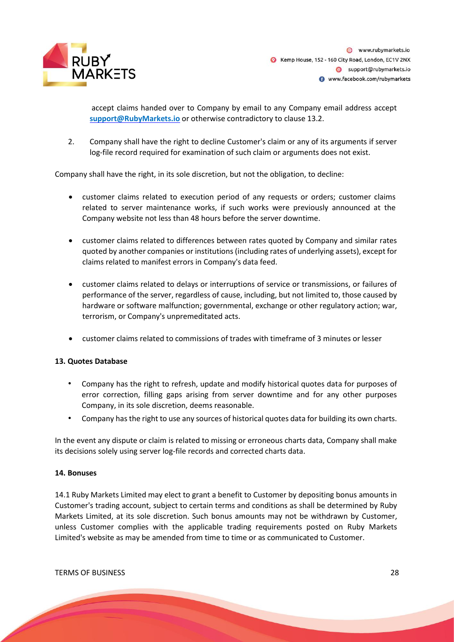

accept claims handed over to Company by email to any Company email address accept **support@RubyMarkets.io** or otherwise contradictory to clause 13.2.

2. Company shall have the right to decline Customer's claim or any of its arguments if server log-file record required for examination of such claim or arguments does not exist.

Company shall have the right, in its sole discretion, but not the obligation, to decline:

- customer claims related to execution period of any requests or orders; customer claims related to server maintenance works, if such works were previously announced at the Company website not less than 48 hours before the server downtime.
- customer claims related to differences between rates quoted by Company and similar rates quoted by another companies or institutions (including rates of underlying assets), except for claims related to manifest errors in Company's data feed.
- customer claims related to delays or interruptions of service or transmissions, or failures of performance of the server, regardless of cause, including, but not limited to, those caused by hardware or software malfunction; governmental, exchange or other regulatory action; war, terrorism, or Company's unpremeditated acts.
- customer claims related to commissions of trades with timeframe of 3 minutes or lesser

# **13. Quotes Database**

- Company has the right to refresh, update and modify historical quotes data for purposes of error correction, filling gaps arising from server downtime and for any other purposes Company, in its sole discretion, deems reasonable.
- Company has the right to use any sources of historical quotes data for building its own charts.

In the event any dispute or claim is related to missing or erroneous charts data, Company shall make its decisions solely using server log-file records and corrected charts data.

# **14. Bonuses**

14.1 Ruby Markets Limited may elect to grant a benefit to Customer by depositing bonus amounts in Customer's trading account, subject to certain terms and conditions as shall be determined by Ruby Markets Limited, at its sole discretion. Such bonus amounts may not be withdrawn by Customer, unless Customer complies with the applicable trading requirements posted on Ruby Markets Limited's website as may be amended from time to time or as communicated to Customer.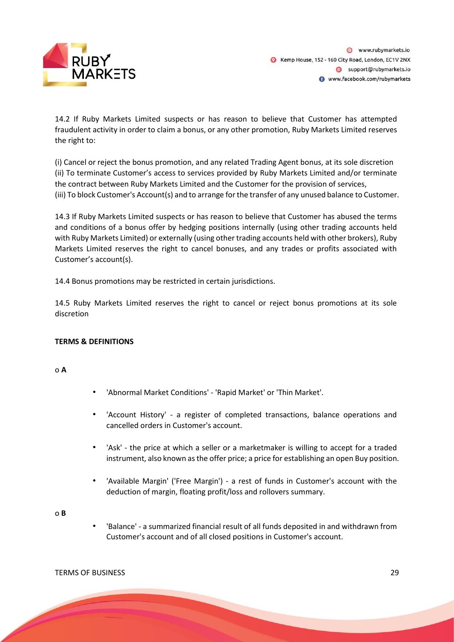

14.2 If Ruby Markets Limited suspects or has reason to believe that Customer has attempted fraudulent activity in order to claim a bonus, or any other promotion, Ruby Markets Limited reserves the right to:

(i) Cancel or reject the bonus promotion, and any related Trading Agent bonus, at its sole discretion (ii) To terminate Customer's access to services provided by Ruby Markets Limited and/or terminate the contract between Ruby Markets Limited and the Customer for the provision of services, (iii) To block Customer's Account(s) and to arrange for the transfer of any unused balance to Customer.

14.3 If Ruby Markets Limited suspects or has reason to believe that Customer has abused the terms and conditions of a bonus offer by hedging positions internally (using other trading accounts held with Ruby Markets Limited) or externally (using other trading accounts held with other brokers), Ruby Markets Limited reserves the right to cancel bonuses, and any trades or profits associated with Customer's account(s).

14.4 Bonus promotions may be restricted in certain jurisdictions.

14.5 Ruby Markets Limited reserves the right to cancel or reject bonus promotions at its sole discretion

# **TERMS & DEFINITIONS**

o **A**

- 'Abnormal Market Conditions' 'Rapid Market' or 'Thin Market'.
- 'Account History' a register of completed transactions, balance operations and cancelled orders in Customer's account.
- 'Ask' the price at which a seller or a marketmaker is willing to accept for a traded instrument, also known as the offer price; a price for establishing an open Buy position.
- 'Available Margin' ('Free Margin') a rest of funds in Customer's account with the deduction of margin, floating profit/loss and rollovers summary.

o **B** 

• 'Balance' - a summarized financial result of all funds deposited in and withdrawn from Customer's account and of all closed positions in Customer's account.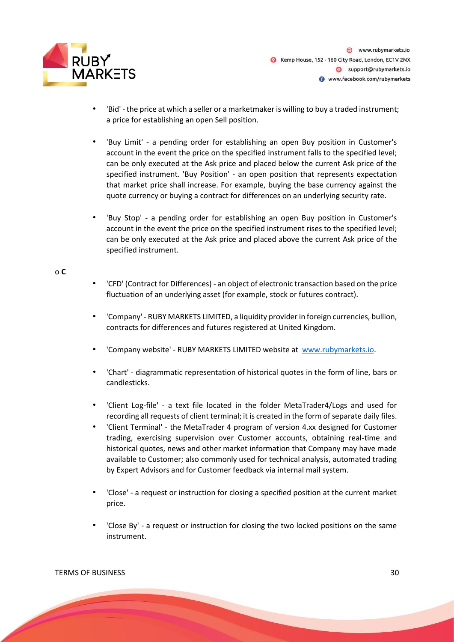

- 'Bid' the price at which a seller or a marketmaker is willing to buy a traded instrument; a price for establishing an open Sell position.
- 'Buy Limit' a pending order for establishing an open Buy position in Customer's account in the event the price on the specified instrument falls to the specified level; can be only executed at the Ask price and placed below the current Ask price of the specified instrument. 'Buy Position' - an open position that represents expectation that market price shall increase. For example, buying the base currency against the quote currency or buying a contract for differences on an underlying security rate.
- 'Buy Stop' a pending order for establishing an open Buy position in Customer's account in the event the price on the specified instrument rises to the specified level; can be only executed at the Ask price and placed above the current Ask price of the specified instrument.

#### o **C**

- 'CFD' (Contract for Differences) an object of electronic transaction based on the price fluctuation of an underlying asset (for example, stock or futures contract).
- 'Company' RUBY MARKETS LIMITED, a liquidity provider in foreign currencies, bullion, contracts for differences and futures registered at United Kingdom.
- 'Company website' RUBY MARKETS LIMITED website a[t](http://www.tradesto.com/) [www.rubymarkets.io.](http://www.rubymarkets.net/)
- 'Chart' diagrammatic representation of historical quotes in the form of line, bars or candlesticks.
- 'Client Log-file' a text file located in the folder MetaTrader4/Logs and used for recording all requests of client terminal; it is created in the form of separate daily files.
- 'Client Terminal' the MetaTrader 4 program of version 4.xx designed for Customer trading, exercising supervision over Customer accounts, obtaining real-time and historical quotes, news and other market information that Company may have made available to Customer; also commonly used for technical analysis, automated trading by Expert Advisors and for Customer feedback via internal mail system.
- 'Close' a request or instruction for closing a specified position at the current market price.
- 'Close By' a request or instruction for closing the two locked positions on the same instrument.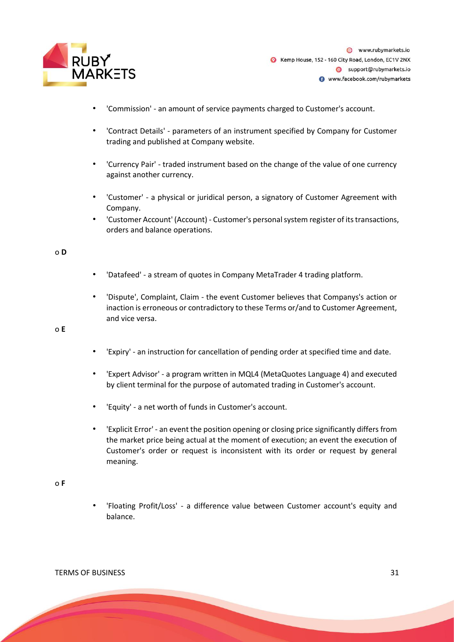

- 'Commission' an amount of service payments charged to Customer's account.
- 'Contract Details' parameters of an instrument specified by Company for Customer trading and published at Company website.
- 'Currency Pair' traded instrument based on the change of the value of one currency against another currency.
- 'Customer' a physical or juridical person, a signatory of Customer Agreement with Company.
- 'Customer Account' (Account) Customer's personal system register of its transactions, orders and balance operations.

#### o **D**

- 'Datafeed' a stream of quotes in Company MetaTrader 4 trading platform.
- 'Dispute', Complaint, Claim the event Customer believes that Companys's action or inaction is erroneous or contradictory to these Terms or/and to Customer Agreement, and vice versa.

#### o **E**

- 'Expiry' an instruction for cancellation of pending order at specified time and date.
- 'Expert Advisor' a program written in MQL4 (MetaQuotes Language 4) and executed by client terminal for the purpose of automated trading in Customer's account.
- 'Equity' a net worth of funds in Customer's account.
- 'Explicit Error' an event the position opening or closing price significantly differs from the market price being actual at the moment of execution; an event the execution of Customer's order or request is inconsistent with its order or request by general meaning.

#### o **F**

• 'Floating Profit/Loss' - a difference value between Customer account's equity and balance.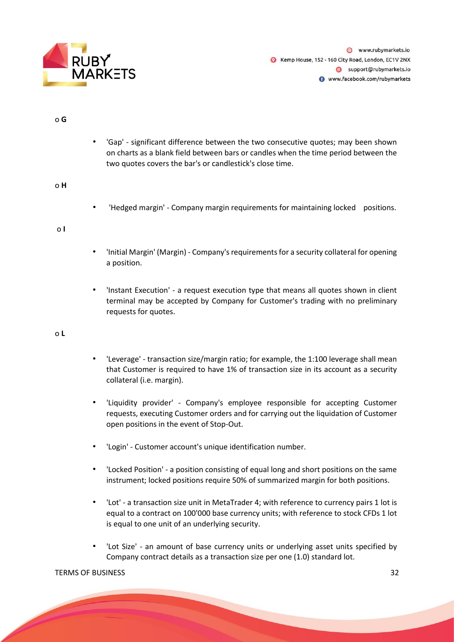

@ www.rubymarkets.jo Kemp House, 152 - 160 City Road, London, EC1V 2NX Support@rubymarkets.io www.facebook.com/rubymarkets

o **G**

• 'Gap' - significant difference between the two consecutive quotes; may been shown on charts as a blank field between bars or candles when the time period between the two quotes covers the bar's or candlestick's close time.

o **H**

• 'Hedged margin' - Company margin requirements for maintaining locked positions.

o **I**

- 'Initial Margin' (Margin) Company's requirements for a security collateral for opening a position.
- 'Instant Execution' a request execution type that means all quotes shown in client terminal may be accepted by Company for Customer's trading with no preliminary requests for quotes.

o **L**

- 'Leverage' transaction size/margin ratio; for example, the 1:100 leverage shall mean that Customer is required to have 1% of transaction size in its account as a security collateral (i.e. margin).
- 'Liquidity provider' Company's employee responsible for accepting Customer requests, executing Customer orders and for carrying out the liquidation of Customer open positions in the event of Stop-Out.
- 'Login' Customer account's unique identification number.
- 'Locked Position' a position consisting of equal long and short positions on the same instrument; locked positions require 50% of summarized margin for both positions.
- 'Lot' a transaction size unit in MetaTrader 4; with reference to currency pairs 1 lot is equal to a contract on 100'000 base currency units; with reference to stock CFDs 1 lot is equal to one unit of an underlying security.
- 'Lot Size' an amount of base currency units or underlying asset units specified by Company contract details as a transaction size per one (1.0) standard lot.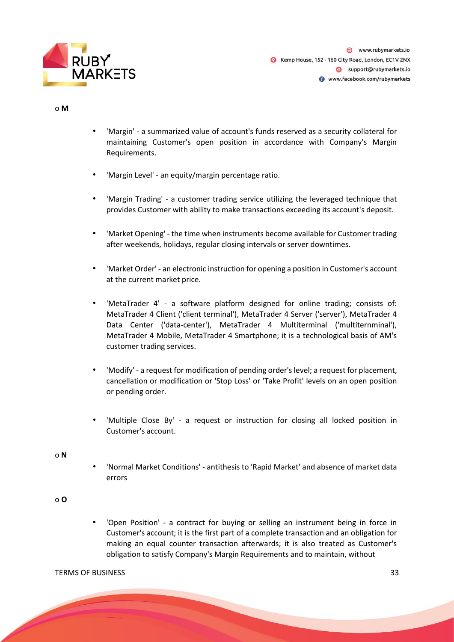

@ www.rubymarkets.jo Kemp House, 152 - 160 City Road, London, EC1V 2NX Support@rubymarkets.io www.facebook.com/rubymarkets

o **M**

- 'Margin' a summarized value of account's funds reserved as a security collateral for maintaining Customer's open position in accordance with Company's Margin Requirements.
- 'Margin Level' an equity/margin percentage ratio.
- 'Margin Trading' a customer trading service utilizing the leveraged technique that provides Customer with ability to make transactions exceeding its account's deposit.
- 'Market Opening' the time when instruments become available for Customer trading after weekends, holidays, regular closing intervals or server downtimes.
- 'Market Order' an electronic instruction for opening a position in Customer's account at the current market price.
- 'MetaTrader 4' a software platform designed for online trading; consists of: MetaTrader 4 Client ('client terminal'), MetaTrader 4 Server ('server'), MetaTrader 4 Data Center ('data-center'), MetaTrader 4 Multiterminal ('multiternminal'), MetaTrader 4 Mobile, MetaTrader 4 Smartphone; it is a technological basis of AM's customer trading services.
- 'Modify' a request for modification of pending order's level; a request for placement, cancellation or modification or 'Stop Loss' or 'Take Profit' levels on an open position or pending order.
- 'Multiple Close By' a request or instruction for closing all locked position in Customer's account.

o **N**

• 'Normal Market Conditions' - antithesis to 'Rapid Market' and absence of market data errors

# o **O**

• 'Open Position' - a contract for buying or selling an instrument being in force in Customer's account; it is the first part of a complete transaction and an obligation for making an equal counter transaction afterwards; it is also treated as Customer's obligation to satisfy Company's Margin Requirements and to maintain, without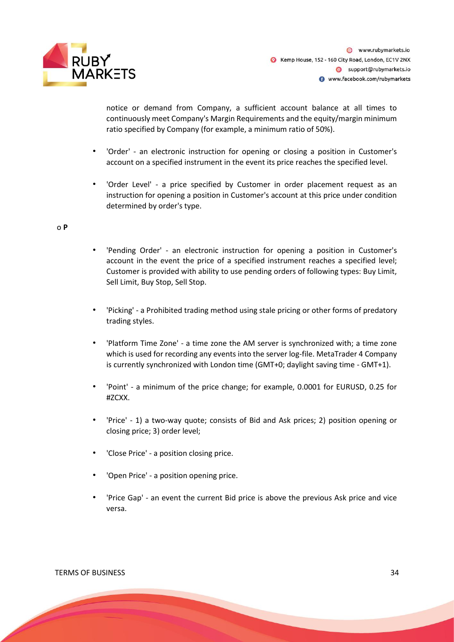

notice or demand from Company, a sufficient account balance at all times to continuously meet Company's Margin Requirements and the equity/margin minimum ratio specified by Company (for example, a minimum ratio of 50%).

- 'Order' an electronic instruction for opening or closing a position in Customer's account on a specified instrument in the event its price reaches the specified level.
- 'Order Level' a price specified by Customer in order placement request as an instruction for opening a position in Customer's account at this price under condition determined by order's type.

#### o **P**

- 'Pending Order' an electronic instruction for opening a position in Customer's account in the event the price of a specified instrument reaches a specified level; Customer is provided with ability to use pending orders of following types: Buy Limit, Sell Limit, Buy Stop, Sell Stop.
- 'Picking' a Prohibited trading method using stale pricing or other forms of predatory trading styles.
- 'Platform Time Zone' a time zone the AM server is synchronized with; a time zone which is used for recording any events into the server log-file. MetaTrader 4 Company is currently synchronized with London time (GMT+0; daylight saving time - GMT+1).
- 'Point' a minimum of the price change; for example, 0.0001 for EURUSD, 0.25 for #ZCXX.
- 'Price' 1) a two-way quote; consists of Bid and Ask prices; 2) position opening or closing price; 3) order level;
- 'Close Price' a position closing price.
- 'Open Price' a position opening price.
- 'Price Gap' an event the current Bid price is above the previous Ask price and vice versa.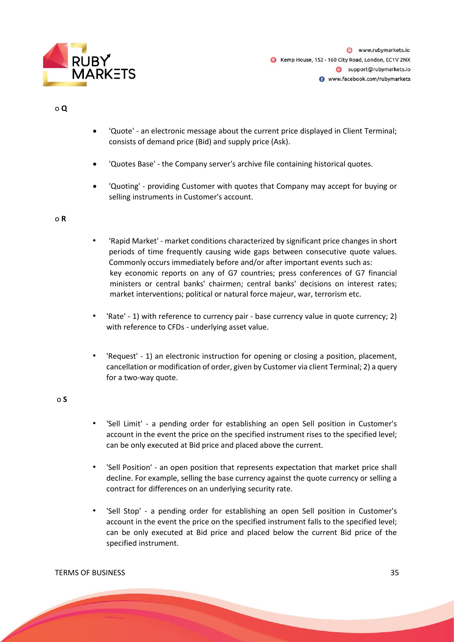

# o **Q**

- 'Quote' an electronic message about the current price displayed in Client Terminal; consists of demand price (Bid) and supply price (Ask).
- 'Quotes Base' the Company server's archive file containing historical quotes.
- 'Quoting' providing Customer with quotes that Company may accept for buying or selling instruments in Customer's account.

#### o **R**

- 'Rapid Market' market conditions characterized by significant price changes in short periods of time frequently causing wide gaps between consecutive quote values. Commonly occurs immediately before and/or after important events such as: key economic reports on any of G7 countries; press conferences of G7 financial ministers or central banks' chairmen; central banks' decisions on interest rates; market interventions; political or natural force majeur, war, terrorism etc.
- 'Rate' 1) with reference to currency pair base currency value in quote currency; 2) with reference to CFDs - underlying asset value.
- 'Request' 1) an electronic instruction for opening or closing a position, placement, cancellation or modification of order, given by Customer via client Terminal; 2) a query for a two-way quote.

#### o **S**

- 'Sell Limit' a pending order for establishing an open Sell position in Customer's account in the event the price on the specified instrument rises to the specified level; can be only executed at Bid price and placed above the current.
- 'Sell Position' an open position that represents expectation that market price shall decline. For example, selling the base currency against the quote currency or selling a contract for differences on an underlying security rate.
- 'Sell Stop' a pending order for establishing an open Sell position in Customer's account in the event the price on the specified instrument falls to the specified level; can be only executed at Bid price and placed below the current Bid price of the specified instrument.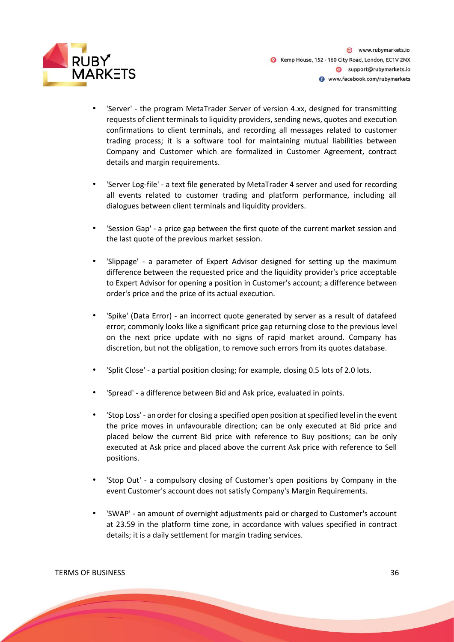

- 'Server' the program MetaTrader Server of version 4.xx, designed for transmitting requests of client terminals to liquidity providers, sending news, quotes and execution confirmations to client terminals, and recording all messages related to customer trading process; it is a software tool for maintaining mutual liabilities between Company and Customer which are formalized in Customer Agreement, contract details and margin requirements.
- 'Server Log-file' a text file generated by MetaTrader 4 server and used for recording all events related to customer trading and platform performance, including all dialogues between client terminals and liquidity providers.
- 'Session Gap' a price gap between the first quote of the current market session and the last quote of the previous market session.
- 'Slippage' a parameter of Expert Advisor designed for setting up the maximum difference between the requested price and the liquidity provider's price acceptable to Expert Advisor for opening a position in Customer's account; a difference between order's price and the price of its actual execution.
- 'Spike' (Data Error) an incorrect quote generated by server as a result of datafeed error; commonly looks like a significant price gap returning close to the previous level on the next price update with no signs of rapid market around. Company has discretion, but not the obligation, to remove such errors from its quotes database.
- 'Split Close' a partial position closing; for example, closing 0.5 lots of 2.0 lots.
- 'Spread' a difference between Bid and Ask price, evaluated in points.
- 'Stop Loss' an order for closing a specified open position at specified level in the event the price moves in unfavourable direction; can be only executed at Bid price and placed below the current Bid price with reference to Buy positions; can be only executed at Ask price and placed above the current Ask price with reference to Sell positions.
- 'Stop Out' a compulsory closing of Customer's open positions by Company in the event Customer's account does not satisfy Company's Margin Requirements.
- 'SWAP' an amount of overnight adjustments paid or charged to Customer's account at 23.59 in the platform time zone, in accordance with values specified in contract details; it is a daily settlement for margin trading services.